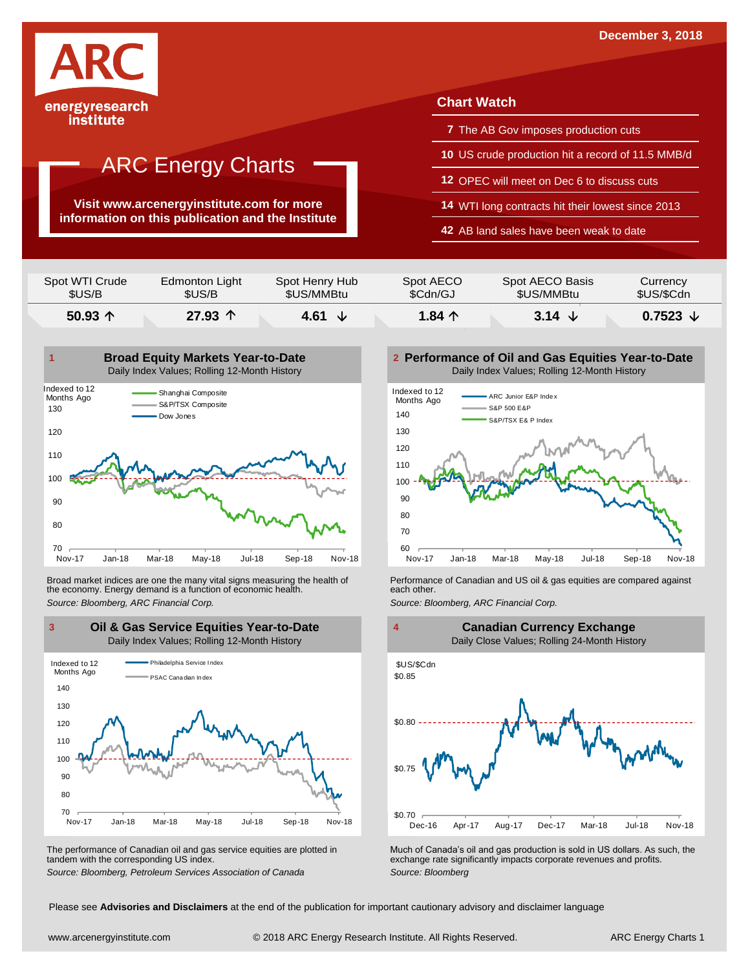

institute

# ARC Energy Charts

**Visit www.arcenergyinstitute.com for more information on this publication and the Institute**

## **Chart Watch**

- **7** The AB Gov imposes production cuts
- **10** US crude production hit a record of 11.5 MMB/d
- **12** OPEC will meet on Dec 6 to discuss cuts
- **14** WTI long contracts hit their lowest since 2013
- **42** AB land sales have been weak to date

| Spot WTI Crude   | Edmonton Light   | Spot Henry Hub | Spot AECO       | Spot AECO Basis | Currency          |
|------------------|------------------|----------------|-----------------|-----------------|-------------------|
| \$US/B           | \$US/B           | \$US/MMBtu     | \$Cdn/GJ        | \$US/MMBtu      | \$US/\$Cdn        |
| 50.93 $\uparrow$ | 27.93 $\Upsilon$ | 4.61<br>◡      | 1.84 $\uparrow$ | 3.14 $\sqrt{ }$ | 0.7523 $\sqrt{ }$ |



Broad market indices are one the many vital signs measuring the health of the economy. Energy demand is a function of economic health. Broad market indices are one the many vital signs measuring the health of **Full and Performance of Canadian and US** oil & gas equities are compared against the economy. Energy demand is a function of economic health.<br>Sourc



The performance of Canadian oil and gas service equities are plotted in tandem with the corresponding US index.

**Performance of Oil and Gas Equities Year-to-Date** Daily Index Values; Rolling 12-Month History





The performance of Canadian oil and gas service equities are plotted in Much of Canada's oil and gas production is sold in US dollars. As such, the exchange rate significantly impacts corporate revenues and profits.<br>Source

Please see **Advisories and Disclaimers** at the end of the publication for important cautionary advisory and disclaimer language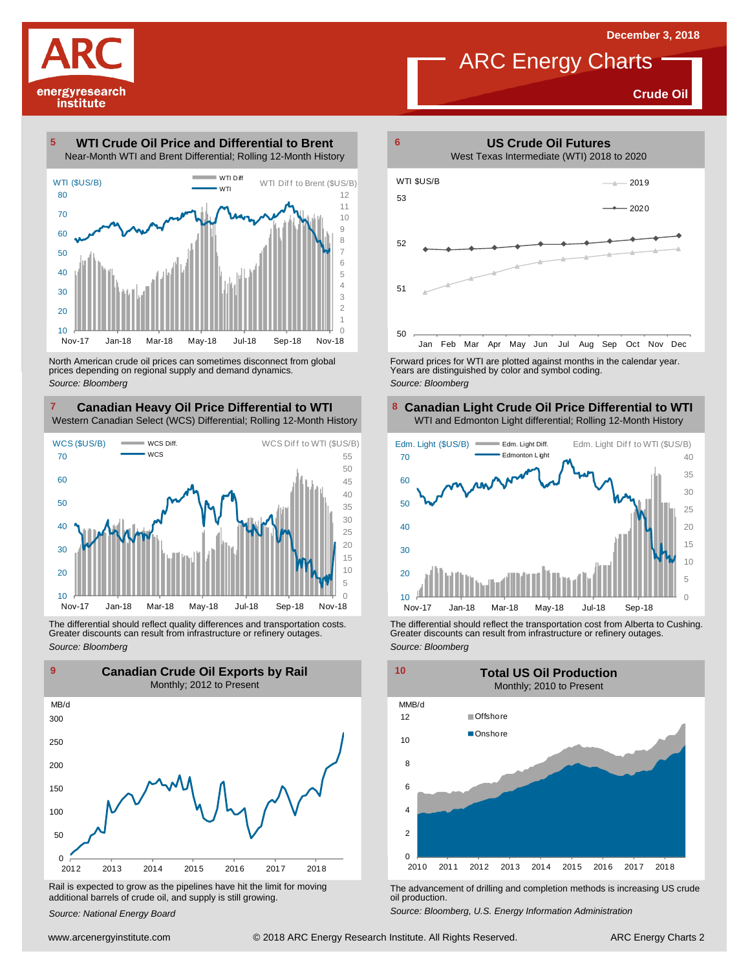

**Crude Oil**

**WTI Crude Oil Price and Differential to Brent** Near-Month WTI and Brent Differential; Rolling 12-Month History 



North American crude oil prices can sometimes disconnect from global prices depending on regional supply and demand dynamics. *Source: Bloomberg*

#### **Canadian Heavy Oil Price Differential to WTI 8** Western Canadian Select (WCS) Differential; Rolling 12-Month History



The differential should reflect quality differences and transportation costs. Greater discounts can result from infrastructure or refinery outages. *Source: Bloomberg*



Rail is expected to grow as the pipelines have hit the limit for moving additional barrels of crude oil, and supply is still growing.

*Source: National Energy Board*



Forward prices for WTI are plotted against months in the calendar year. Years are distinguished by color and symbol coding. *Source: Bloomberg*

### **Canadian Light Crude Oil Price Differential to WTI** WTI and Edmonton Light differential; Rolling 12-Month History



The differential should reflect the transportation cost from Alberta to Cushing. Greater discounts can result from infrastructure or refinery outages. *Source: Bloomberg*



The advancement of drilling and completion methods is increasing US crude oil production.

*Source: Bloomberg, U.S. Energy Information Administration*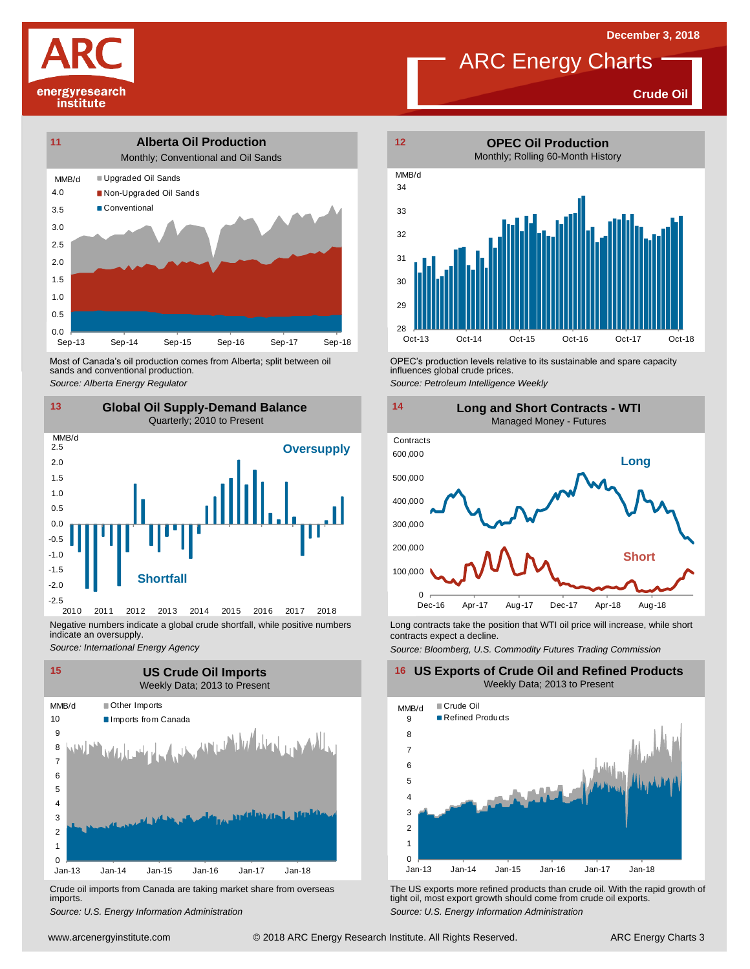**Crude Oil**





Most of Canada's oil production comes from Alberta; split between oil sands and conventional production. Most of Canada's oil production comes from Alberta; split between oil **Source:** OPEC's production levels relative to its sustainable and spare capacity<br>
Source: Alberta *Energy Regulator*<br>
Source: Petroleum Intelligence We



Negative numbers indicate a global crude shortfall, while positive numbers indicate an oversupply.

*Source: International Energy Agency*



Crude oil imports from Canada are taking market share from overseas imports.



ARC Energy Charts



influences global crude prices. *Source: Petroleum Intelligence Weekly*



Long contracts take the position that WTI oil price will increase, while short contracts expect a decline.

*Source: Bloomberg, U.S. Commodity Futures Trading Commission*

**16 US Exports of Crude Oil and Refined Products** Weekly Data; 2013 to Present



Um-13 Jan-14 Jan-15 Jan-16 Jan-17 Jan-18 Jan-13 Jan-14 Jan-15 Jan-16 Jan-17 Jan-18<br>Crude oil imports from Canada are taking market share from overseas<br>imports.<br>Source: U.S. Energy Information Administration<br>www.arcenergyin *S*rude oil imports from Canada are taking market share from overseas The US exports more refined products than crude oil. With the rapid growth of imports.<br> *Source: U.S. Energy Information Administration*<br>
Source: U.S. E tight oil, most export growth should come from crude oil exports. *Source: U.S. Energy Information Administration*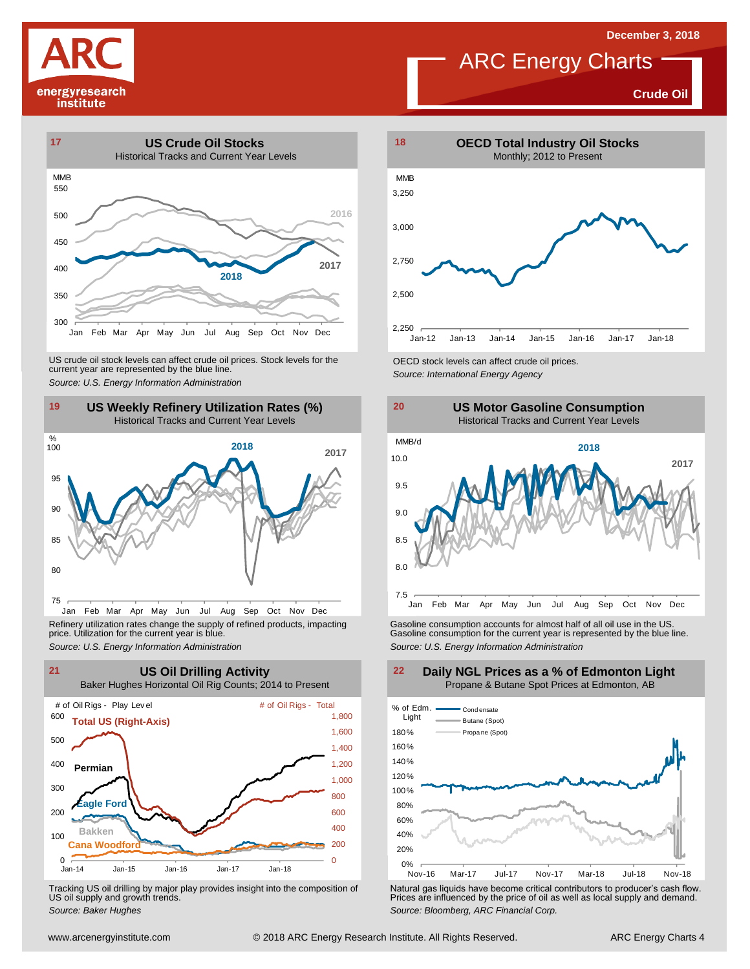



**Crude Oil**





Jan Feb Mar Apr May Jun Jul Aug Sep Oct Nov Dec Refinery utilization rates change the supply of refined products, impacting price. Utilization for the current year is blue.



Tracking US oil drilling by major play provides insight into the composition of US oil supply and growth trends.





Refinery utilization rates change the supply of refined products, impacting<br>
price. Utilization for the current year is blue.<br>
Source: U.S. Energy Information Administration<br>
Source: U.S. Energy Information Administration<br>



**Daily NGL Prices as a % of Edmonton Light** Propane & Butane Spot Prices at Edmonton, AB

Tracking US oil drilling by major play provides insight into the composition of<br>US oil supply and growth trends.<br>Source: Baker Hughes<br>Source: Baker Hughes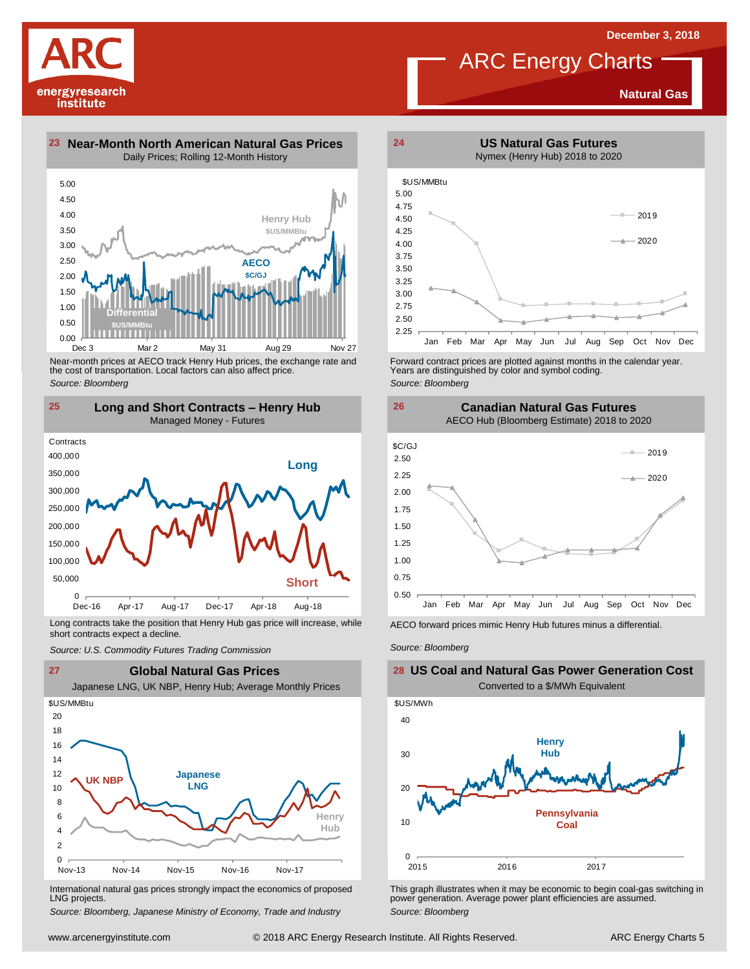**US Natural Gas Futures**

**Natural Gas**

**23 Near-Month North American Natural Gas Prices 24** Daily Prices; Rolling 12-Month History

energyresearch institute



Near-month prices at AECO track Henry Hub prices, the exchange rate and the cost of transportation. Local factors can also affect price. *Source: Bloomberg*



Long contracts take the position that Henry Hub gas price will increase, while short contracts expect a decline. *Source: U.S. Commodity Futures Trading Commission* AECO forward prices mimic Henry Hub futures minus <sup>a</sup> differential. *Source: Bloomberg*



International natural gas prices strongly impact the economics of proposed LNG projects.

*Source: Bloomberg, Japanese Ministry of Economy, Trade and Industry*



Forward contract prices are plotted against months in the calendar year.<br>Years are distinguished by color and symbol coding. *Source: Bloomberg*





## **US Coal and Natural Gas Power Generation Cost** Converted to a \$/MWh Equivalent



This graph illustrates when it may be economic to begin coal-gas switching in power generation. Average power plant efficiencies are assumed. *Source: Bloomberg*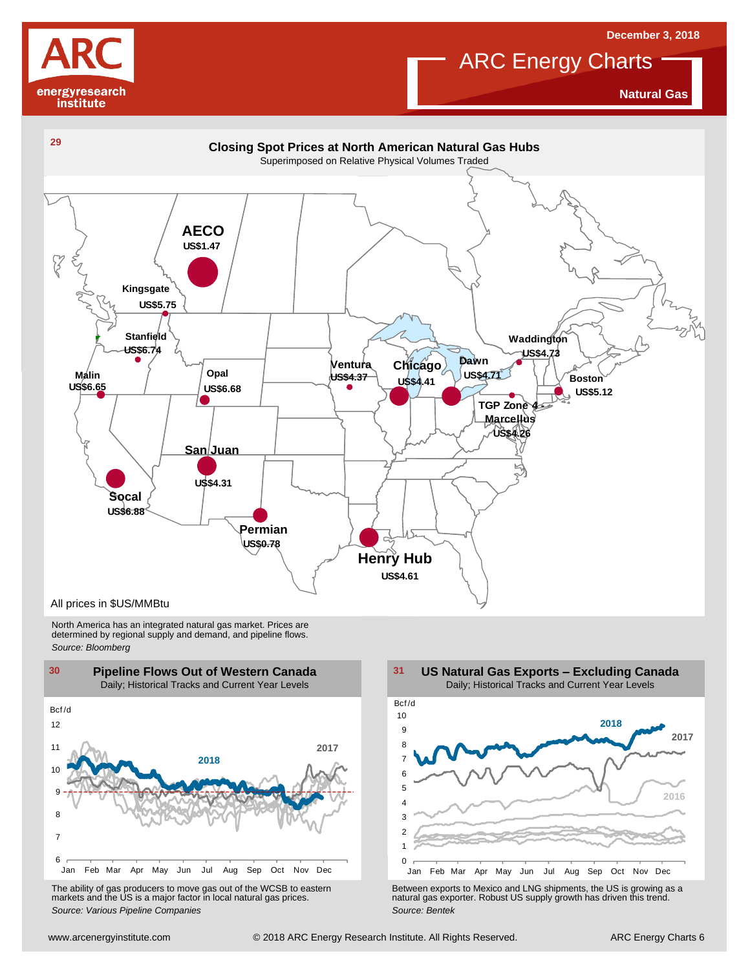

**Natural Gas**

**December 3, 2018**



North America has an integrated natural gas market. Prices are determined by regional supply and demand, and pipeline flows. *Source: Bloomberg*



The ability of gas producers to move gas out of the WCSB to eastern markets and the US is <sup>a</sup> major factor in local natural gas prices.

1 2 3 4 5 6 7 8  $\overline{9}$ 10 Jan Feb Mar Apr May Jun Jul Aug Sep Oct Nov Dec Bcf /d **US Natural Gas Exports – Excluding Canada** Daily; Historical Tracks and Current Year Levels **2017 2016 2018**

Using the Marchine Mar Apr May Jun Jul Aug Sep Oct Nov Dec The ability of gas producers to move gas out of the WCSB to eastern<br>
markets and the US is a major factor in local natural gas prices.<br>
Source: Various Pipeline Co The ability of gas producers to move gas out of the WCSB to eastern<br>
markets and the US is a major factor in local natural gas prices.<br>
Source: Various Pipeline Companies<br>
Source: Bentek<br>
Source: Bentek<br>
Source: Bentek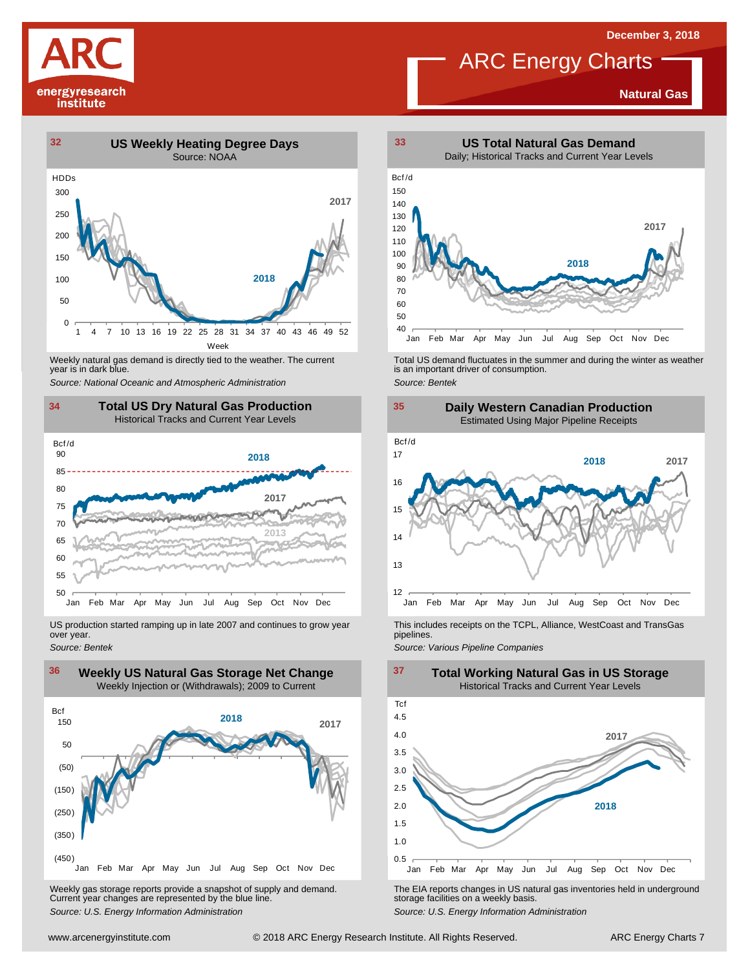

### **Natural Gas**



year is in dark blue.



US production started ramping up in late 2007 and continues to grow year over year. *Source: Bentek*



Weekly gas storage reports provide <sup>a</sup> snapshot of supply and demand. Current year changes are represented by the blue line. Weekly gas storage reports provide a snapshot of supply and demand.<br>
The EIA reports changes in US natural gas inventories held in underground<br>
Source: U.S. Energy Information Administration<br>
Source: U.S. Energy Informatio



Weekly natural gas demand is directly tied to the weather. The current<br>
year is in dark blue.<br>
Source: National Oceanic and Atmospheric Administration<br>
Source: Bentek<br>
Source: Bentek





This includes receipts on the TCPL, Alliance, WestCoast and TransGas pipelines.

**Total Working Natural Gas in US Storage**

*Source: Various Pipeline Companies*

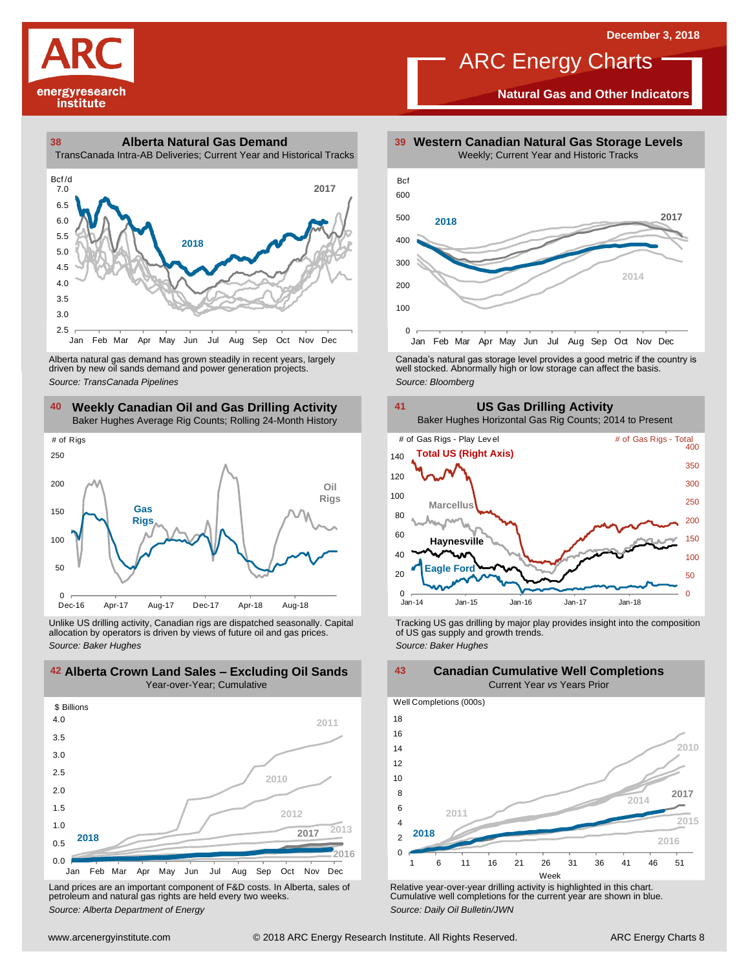

**Natural Gas and Other Indicators**





driven by new oil sands demand and power generation projects.

**40 41 Weekly Canadian Oil and Gas Drilling Activity** Baker Hughes Average Rig Counts; Rolling 24-Month History



Unlike US drilling activity, Canadian rigs are dispatched seasonally. Capital allocation by operators is driven by views of future oil and gas prices. *Source: Baker Hughes* Tracking US gas drilling by major play provides insight into the composition of US gas supply and growth trends. *Source: Baker Hughes*



Land prices are an important component of F&D costs. In Alberta, sales of petroleum and natural gas rights are held every two weeks. *Source: Alberta Department of Energy*



Alberta natural gas demand has grown steadily in recent years, largely **canada's natural gas storage level provid**es a good metric if the country is driven by new oil sands demand and power generation projects.<br>And the sto



**42 43 Alberta Crown Land Sales – Excluding Oil Sands Canadian Cumulative Well Completions** Current Year *vs* Years Prior





Relative year-over-year drilling activity is highlighted in this chart. Cumulative well completions for the current year are shown in blue. *Source: Daily Oil Bulletin/JWN*